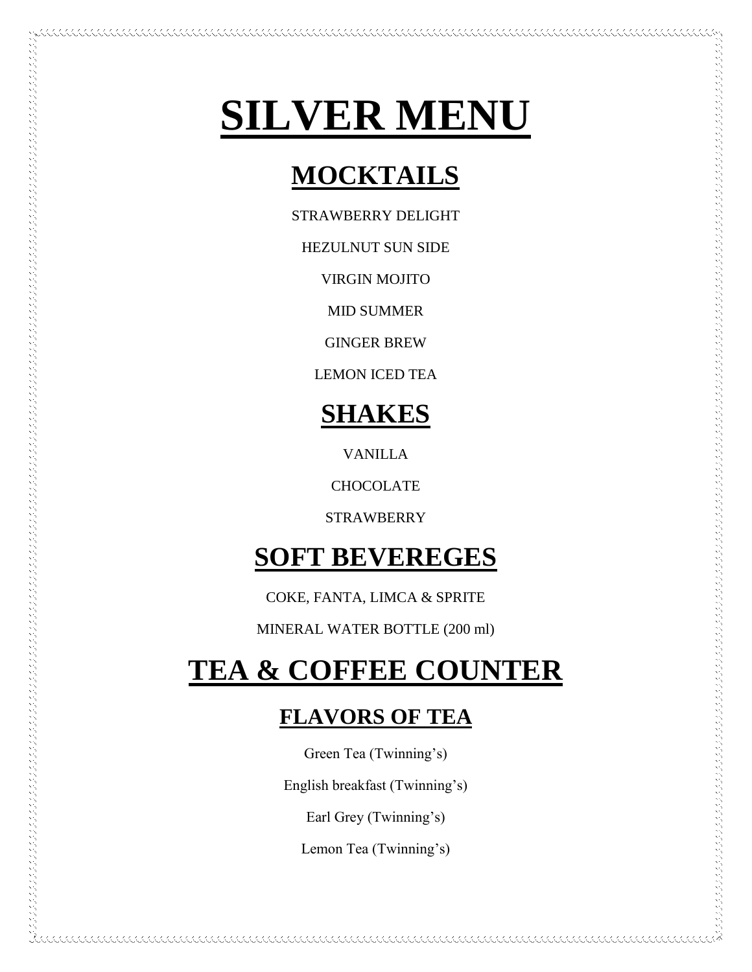# **SILVER MENU**

## **MOCKTAILS**

STRAWBERRY DELIGHT

HEZULNUT SUN SIDE

VIRGIN MOJITO

MID SUMMER

GINGER BREW

LEMON ICED TEA

## **SHAKES**

VANILLA

**CHOCOLATE** 

STRAWBERRY

## **SOFT BEVEREGES**

COKE, FANTA, LIMCA & SPRITE

MINERAL WATER BOTTLE (200 ml)

## **TEA & COFFEE COUNTER**

## **FLAVORS OF TEA**

Green Tea (Twinning's)

English breakfast (Twinning's)

Earl Grey (Twinning's)

Lemon Tea (Twinning's)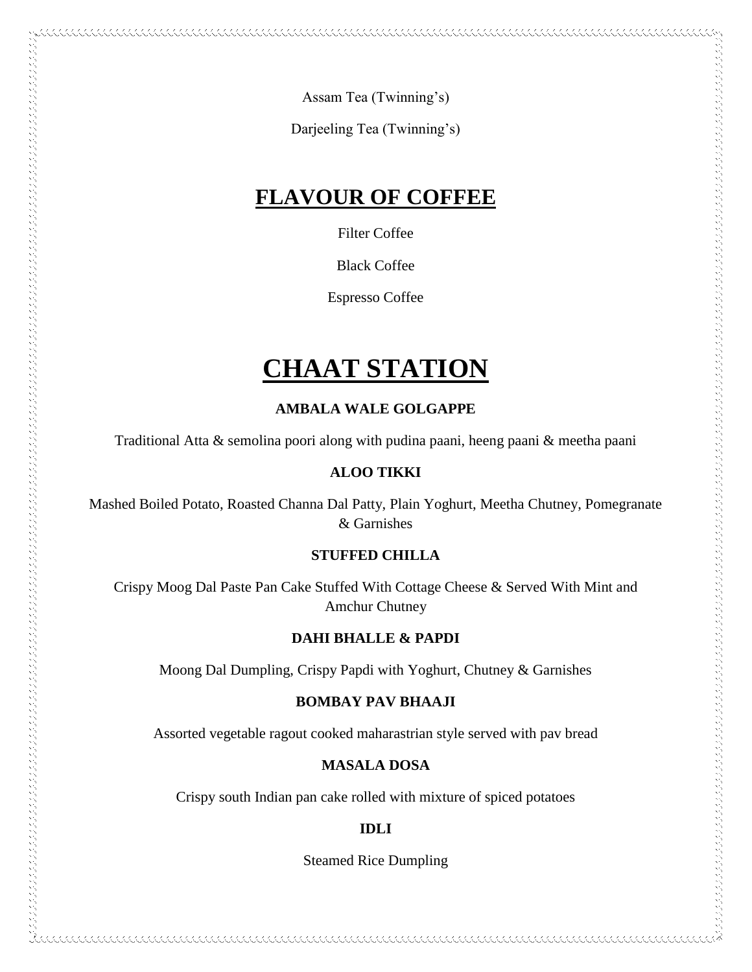Assam Tea (Twinning's)

Darjeeling Tea (Twinning's)

### **FLAVOUR OF COFFEE**

Filter Coffee

Black Coffee

Espresso Coffee

## **CHAAT STATION**

**AMBALA WALE GOLGAPPE**

Traditional Atta & semolina poori along with pudina paani, heeng paani & meetha paani

#### **ALOO TIKKI**

 $\sim$  and the construction of the construction of the construction of the construction of the construction of the construction of the construction of the construction of the construction of the construction of the construc

Mashed Boiled Potato, Roasted Channa Dal Patty, Plain Yoghurt, Meetha Chutney, Pomegranate & Garnishes

#### **STUFFED CHILLA**

Crispy Moog Dal Paste Pan Cake Stuffed With Cottage Cheese & Served With Mint and Amchur Chutney

#### **DAHI BHALLE & PAPDI**

Moong Dal Dumpling, Crispy Papdi with Yoghurt, Chutney & Garnishes

#### **BOMBAY PAV BHAAJI**

Assorted vegetable ragout cooked maharastrian style served with pav bread

#### **MASALA DOSA**

Crispy south Indian pan cake rolled with mixture of spiced potatoes

#### **IDLI**

Steamed Rice Dumpling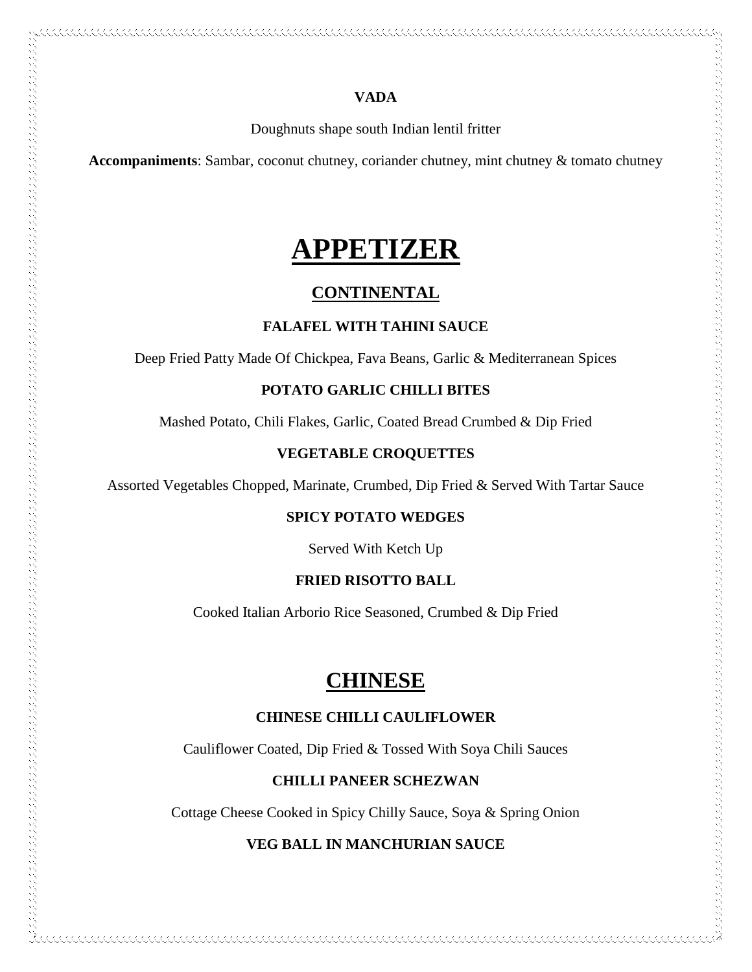#### **VADA**

Doughnuts shape south Indian lentil fritter

**Accompaniments**: Sambar, coconut chutney, coriander chutney, mint chutney & tomato chutney

## **APPETIZER**

#### **CONTINENTAL**

#### **FALAFEL WITH TAHINI SAUCE**

Deep Fried Patty Made Of Chickpea, Fava Beans, Garlic & Mediterranean Spices

#### **POTATO GARLIC CHILLI BITES**

Mashed Potato, Chili Flakes, Garlic, Coated Bread Crumbed & Dip Fried

#### **VEGETABLE CROQUETTES**

Assorted Vegetables Chopped, Marinate, Crumbed, Dip Fried & Served With Tartar Sauce

フィックス きょうこう きょうこう アクセス アクセス アクセス アクセス アクセス アクセス しょうしょう アクセス きんしゅう きょうしょう アクセス きょうしょう しょうしょう しょうしょう しょうしょう しょうしょう しょうしょう しょうしょう しょうしょう しょうしょう しょうしょう しょうしょう しょうしょう しょうしょう しょうしょう しょうしょう しょうしょう しょうしょう しょうしょう しょうしょう しょうしょう しょう

#### **SPICY POTATO WEDGES**

Served With Ketch Up

#### **FRIED RISOTTO BALL**

Cooked Italian Arborio Rice Seasoned, Crumbed & Dip Fried

### **CHINESE**

#### **CHINESE CHILLI CAULIFLOWER**

Cauliflower Coated, Dip Fried & Tossed With Soya Chili Sauces

#### **CHILLI PANEER SCHEZWAN**

Cottage Cheese Cooked in Spicy Chilly Sauce, Soya & Spring Onion

#### **VEG BALL IN MANCHURIAN SAUCE**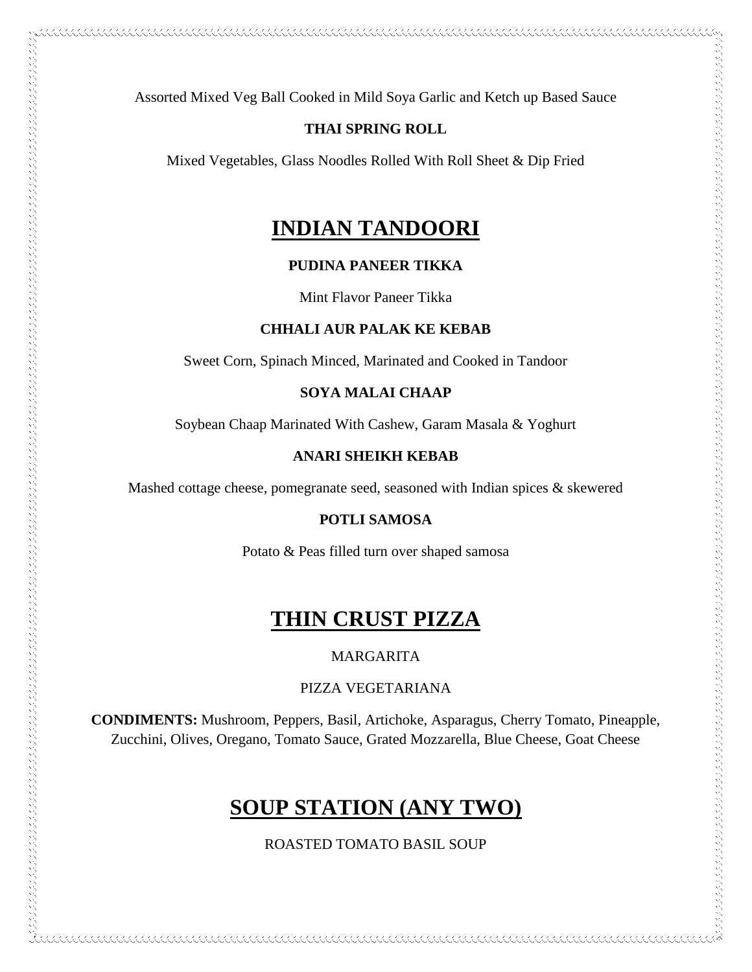Assorted Mixed Veg Ball Cooked in Mild Soya Garlic and Ketch up Based Sauce

#### **THAI SPRING ROLL**

Mixed Vegetables, Glass Noodles Rolled With Roll Sheet & Dip Fried

### **INDIAN TANDOORI**

#### **PUDINA PANEER TIKKA**

Mint Flavor Paneer Tikka

#### **CHHALI AUR PALAK KE KEBAB**

Sweet Corn, Spinach Minced, Marinated and Cooked in Tandoor

#### **SOYA MALAI CHAAP**

Soybean Chaap Marinated With Cashew, Garam Masala & Yoghurt

#### **ANARI SHEIKH KEBAB**

Mashed cottage cheese, pomegranate seed, seasoned with Indian spices & skewered

#### **POTLI SAMOSA**

Potato & Peas filled turn over shaped samosa

## **THIN CRUST PIZZA**

#### MARGARITA

PIZZA VEGETARIANA

**CONDIMENTS:** Mushroom, Peppers, Basil, Artichoke, Asparagus, Cherry Tomato, Pineapple, Zucchini, Olives, Oregano, Tomato Sauce, Grated Mozzarella, Blue Cheese, Goat Cheese

### **SOUP STATION (ANY TWO)**

ROASTED TOMATO BASIL SOUP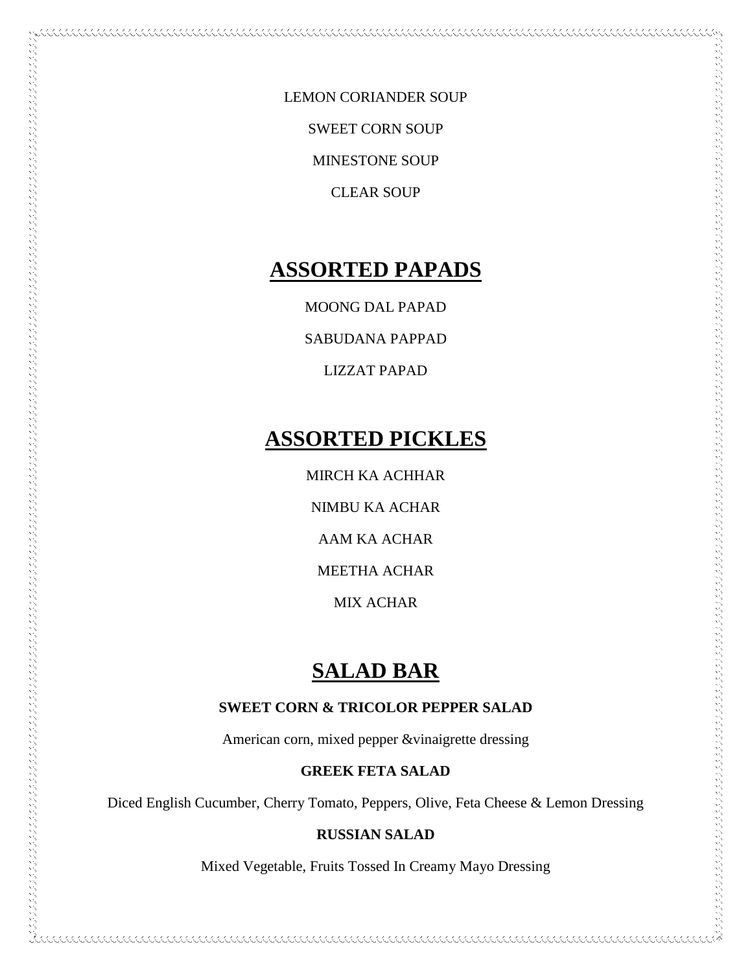LEMON CORIANDER SOUP SWEET CORN SOUP MINESTONE SOUP CLEAR SOUP

## **ASSORTED PAPADS**

MOONG DAL PAPAD

SABUDANA PAPPAD

LIZZAT PAPAD

## **ASSORTED PICKLES**

MIRCH KA ACHHAR

NIMBU KA ACHAR

AAM KA ACHAR

MEETHA ACHAR

MIX ACHAR

## **SALAD BAR**

#### **SWEET CORN & TRICOLOR PEPPER SALAD**

American corn, mixed pepper &vinaigrette dressing

#### **GREEK FETA SALAD**

Diced English Cucumber, Cherry Tomato, Peppers, Olive, Feta Cheese & Lemon Dressing

#### **RUSSIAN SALAD**

Mixed Vegetable, Fruits Tossed In Creamy Mayo Dressing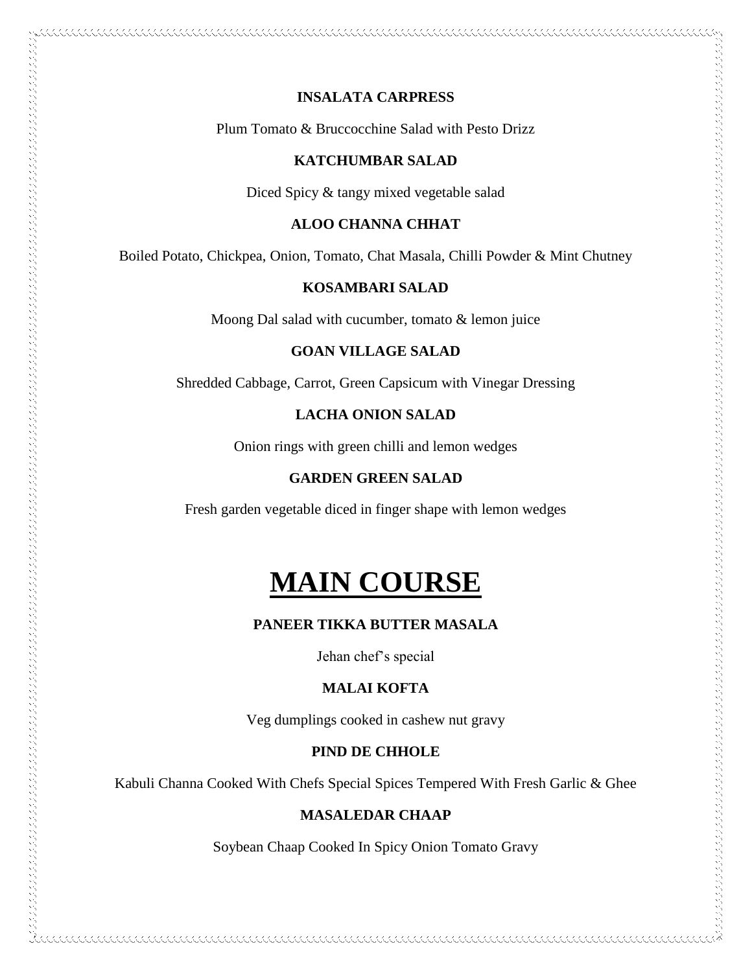#### **INSALATA CARPRESS**

Plum Tomato & Bruccocchine Salad with Pesto Drizz

#### **KATCHUMBAR SALAD**

Diced Spicy & tangy mixed vegetable salad

#### **ALOO CHANNA CHHAT**

Boiled Potato, Chickpea, Onion, Tomato, Chat Masala, Chilli Powder & Mint Chutney

#### **KOSAMBARI SALAD**

Moong Dal salad with cucumber, tomato & lemon juice

#### **GOAN VILLAGE SALAD**

Shredded Cabbage, Carrot, Green Capsicum with Vinegar Dressing

#### **LACHA ONION SALAD**

Onion rings with green chilli and lemon wedges

#### **GARDEN GREEN SALAD**

Fresh garden vegetable diced in finger shape with lemon wedges

## **MAIN COURSE**

#### **PANEER TIKKA BUTTER MASALA**

Jehan chef's special

#### **MALAI KOFTA**

Veg dumplings cooked in cashew nut gravy

#### **PIND DE CHHOLE**

Kabuli Channa Cooked With Chefs Special Spices Tempered With Fresh Garlic & Ghee

#### **MASALEDAR CHAAP**

Soybean Chaap Cooked In Spicy Onion Tomato Gravy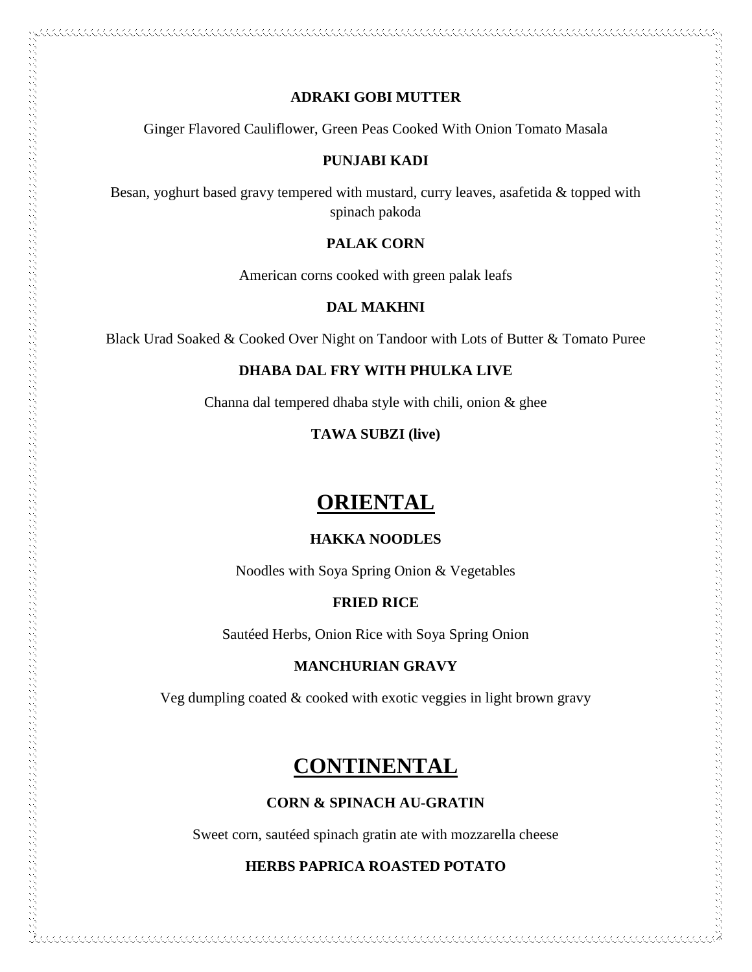#### **ADRAKI GOBI MUTTER**

Ginger Flavored Cauliflower, Green Peas Cooked With Onion Tomato Masala

#### **PUNJABI KADI**

Besan, yoghurt based gravy tempered with mustard, curry leaves, asafetida & topped with spinach pakoda

#### **PALAK CORN**

American corns cooked with green palak leafs

#### **DAL MAKHNI**

Black Urad Soaked & Cooked Over Night on Tandoor with Lots of Butter & Tomato Puree

#### **DHABA DAL FRY WITH PHULKA LIVE**

Channa dal tempered dhaba style with chili, onion & ghee

#### **TAWA SUBZI (live)**

## **ORIENTAL**

#### **HAKKA NOODLES**

Noodles with Soya Spring Onion & Vegetables

#### **FRIED RICE**

Sautéed Herbs, Onion Rice with Soya Spring Onion

#### **MANCHURIAN GRAVY**

Veg dumpling coated  $&$  cooked with exotic veggies in light brown gravy

### **CONTINENTAL**

#### **CORN & SPINACH AU-GRATIN**

Sweet corn, sautéed spinach gratin ate with mozzarella cheese

#### **HERBS PAPRICA ROASTED POTATO**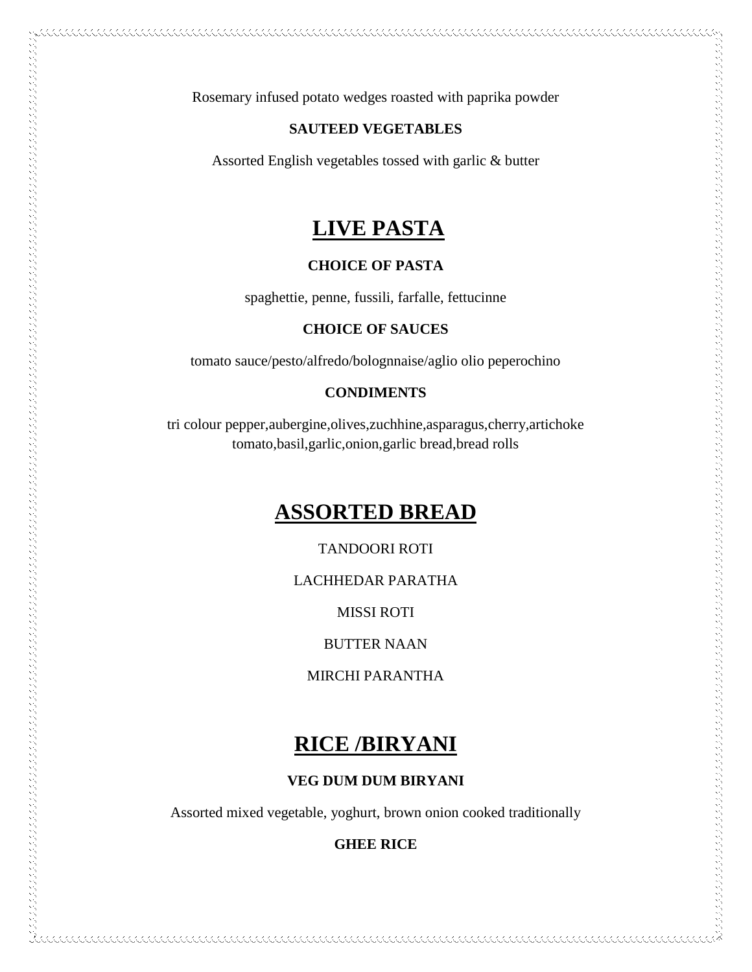Rosemary infused potato wedges roasted with paprika powder

#### **SAUTEED VEGETABLES**

Assorted English vegetables tossed with garlic & butter

### **LIVE PASTA**

#### **CHOICE OF PASTA**

spaghettie, penne, fussili, farfalle, fettucinne

#### **CHOICE OF SAUCES**

tomato sauce/pesto/alfredo/bolognnaise/aglio olio peperochino

#### **CONDIMENTS**

tri colour pepper,aubergine,olives,zuchhine,asparagus,cherry,artichoke tomato,basil,garlic,onion,garlic bread,bread rolls

## **ASSORTED BREAD**

 $\sim$  and the complete state of the construction of the construction of the construction of the complete state of the construction of the construction of the construction of the construction of the construction of the cons

TANDOORI ROTI

LACHHEDAR PARATHA

MISSI ROTI

BUTTER NAAN

MIRCHI PARANTHA

### **RICE /BIRYANI**

#### **VEG DUM DUM BIRYANI**

Assorted mixed vegetable, yoghurt, brown onion cooked traditionally

**GHEE RICE**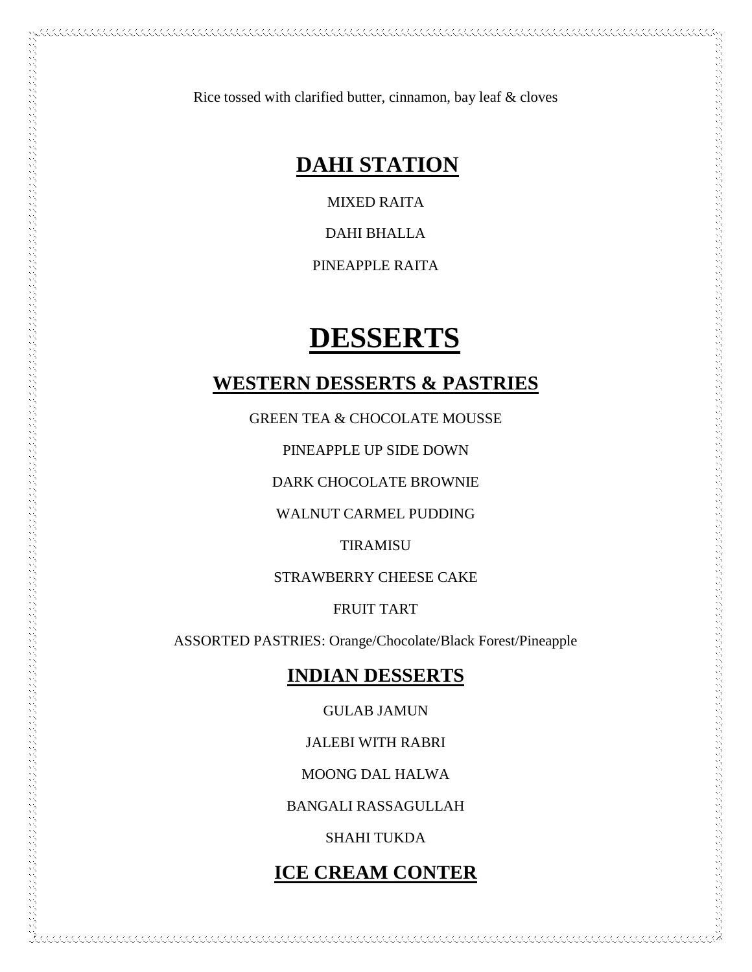Rice tossed with clarified butter, cinnamon, bay leaf & cloves

## **DAHI STATION**

MIXED RAITA

DAHI BHALLA

PINEAPPLE RAITA

## **DESSERTS**

#### **WESTERN DESSERTS & PASTRIES**

GREEN TEA & CHOCOLATE MOUSSE

PINEAPPLE UP SIDE DOWN

DARK CHOCOLATE BROWNIE

WALNUT CARMEL PUDDING

TIRAMISU

STRAWBERRY CHEESE CAKE

FRUIT TART

ASSORTED PASTRIES: Orange/Chocolate/Black Forest/Pineapple

### **INDIAN DESSERTS**

GULAB JAMUN

JALEBI WITH RABRI

MOONG DAL HALWA

BANGALI RASSAGULLAH

SHAHI TUKDA

### **ICE CREAM CONTER**